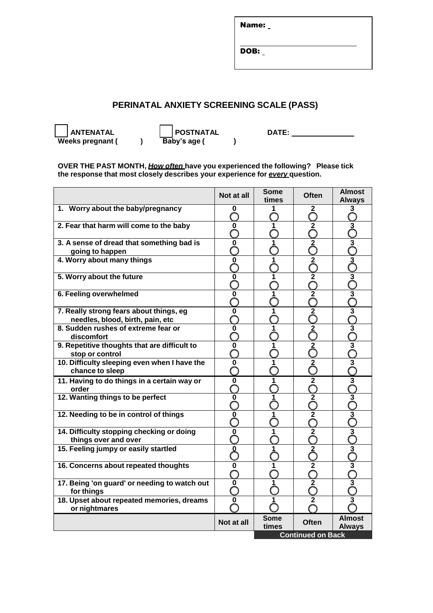Name:

DOB:

## **PERINATAL ANXIETY SCREENING SCALE (PASS)**

 **ANTENATAL POSTNATAL DATE: Weeks pregnant ( ) Baby's age ( )**

**OVER THE PAST MONTH,** *How often* **have you experienced the following? Please tick the response that most closely describes your experience for** *every* **question.**

|                                                                             | Not at all  | Some<br>times            | <b>Often</b>            | <b>Almost</b><br><b>Always</b>     |  |
|-----------------------------------------------------------------------------|-------------|--------------------------|-------------------------|------------------------------------|--|
| 1. Worry about the baby/pregnancy                                           | 0           |                          | 2                       | 3<br>ㄱ                             |  |
| 2. Fear that harm will come to the baby                                     | 0           | 1                        | $\overline{\mathbf{2}}$ | $\overline{\mathbf{3}}$            |  |
| 3. A sense of dread that something bad is                                   | $\bf{0}$    |                          | $\overline{2}$          | $\overline{3}$                     |  |
| going to happen                                                             |             |                          |                         |                                    |  |
| 4. Worry about many things                                                  | $\mathbf 0$ |                          | $\overline{2}$          | $\frac{3}{5}$                      |  |
| 5. Worry about the future                                                   | $\mathbf 0$ |                          | $\overline{\mathbf{2}}$ | $\frac{3}{2}$                      |  |
| 6. Feeling overwhelmed                                                      | $\mathbf 0$ | 1                        | $\overline{2}$          | $\frac{3}{2}$                      |  |
| 7. Really strong fears about things, eg<br>needles, blood, birth, pain, etc | 0           | 1                        | $\approx$               | ာမ $\overline{\phantom{a}}$        |  |
| 8. Sudden rushes of extreme fear or<br>discomfort                           | 0           |                          | $\overline{2}$          | $\overline{3}$                     |  |
| 9. Repetitive thoughts that are difficult to                                | 0           |                          | $\overline{2}$          | $\overline{\mathbf{3}}$            |  |
| stop or control                                                             |             |                          |                         |                                    |  |
| 10. Difficulty sleeping even when I have the<br>chance to sleep             | $\mathbf 0$ |                          | $\overline{2}$          | $\overline{\overline{3}}$          |  |
| 11. Having to do things in a certain way or<br>order                        | $\mathbf 0$ | 1                        | $\overline{2}$          | $\overline{\mathbf{3}}$            |  |
| 12. Wanting things to be perfect                                            | $\bf{0}$    |                          | $\overline{2}$          | $\overline{\mathfrak{z}}$          |  |
| 12. Needing to be in control of things                                      | $\mathbf 0$ | 1                        | $\overline{\mathbf{2}}$ | $\sum_{i=1}^{\infty}$              |  |
| 14. Difficulty stopping checking or doing                                   | $\mathbf 0$ |                          | $\overline{2}$          | $\overline{\overset{3}{\bigcirc}}$ |  |
| things over and over                                                        |             |                          |                         |                                    |  |
| 15. Feeling jumpy or easily startled                                        | $\Omega$    | 1                        | $\overline{2}$          | $\overline{\mathbf{3}}$            |  |
| 16. Concerns about repeated thoughts                                        | 0           |                          | $\mathbf 2$             | $\overline{\mathbf{3}}$            |  |
| 17. Being 'on guard' or needing to watch out<br>for things                  | $\pmb{0}$   |                          | $\overline{2}$          | $\overline{3}$                     |  |
| 18. Upset about repeated memories, dreams                                   | 0           |                          | 2                       | 3                                  |  |
| or nightmares                                                               |             |                          |                         |                                    |  |
|                                                                             | Not at all  | <b>Some</b><br>times     | Often                   | <b>Almost</b><br><b>Always</b>     |  |
|                                                                             |             | <b>Continued on Back</b> |                         |                                    |  |